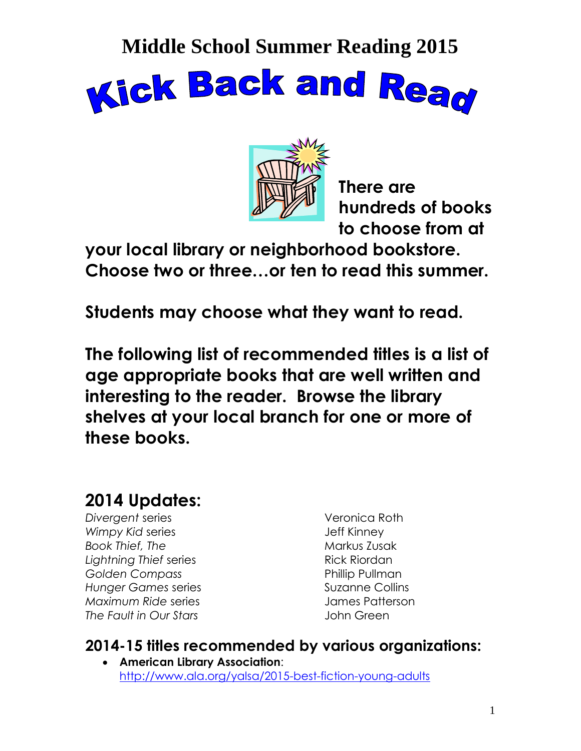



**There are hundreds of books to choose from at** 

**your local library or neighborhood bookstore. Choose two or three…or ten to read this summer.**

**Students may choose what they want to read.**

**The following list of recommended titles is a list of age appropriate books that are well written and interesting to the reader. Browse the library shelves at your local branch for one or more of these books.**

### **2014 Updates:**

*Divergent* series Veronica Roth **Wimpy Kid series Communist Communist Communist Series** Jeff Kinney **Book Thief, The Markus Zusak Communist Communist Communist Communist Communist Communist Communist Communist Communist Communist Communist Communist Communist Communist Communist Communist Communist Communist Communist Co Lightning Thief series Rick Riordan Golden Compass Compass According Pullman Hunger Games series Suzanne Collins** *Maximum Ride* series James Patterson *The Fault in Our Stars* John Green

### **2014-15 titles recommended by various organizations:**

 **American Library Association**: <http://www.ala.org/yalsa/2015-best-fiction-young-adults>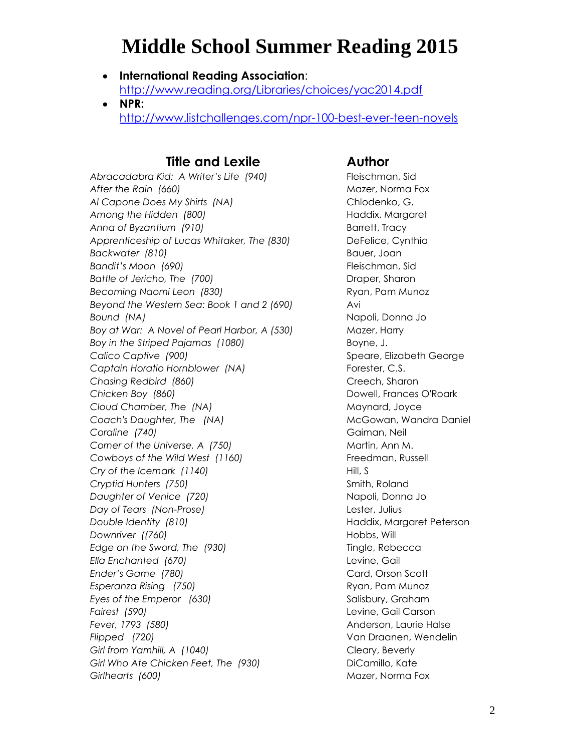- **International Reading Association**: <http://www.reading.org/Libraries/choices/yac2014.pdf>
- **NPR:**  <http://www.listchallenges.com/npr-100-best-ever-teen-novels>

#### **Title and Lexile Author**

*Abracadabra Kid: A Writer's Life (940)* Fleischman, Sid *After the Rain (660)* Mazer, Norma Fox *Al Capone Does My Shirts (NA)* Chlodenko, G. Among the Hidden (800) **Haddix, Margaret Haddix**, Margaret *Anna of Byzantium (910)* Barrett, Tracy *Apprenticeship of Lucas Whitaker, The (830)* DeFelice, Cynthia *Backwater (810)* Bauer, Joan **Bandit's Moon** (690) **Fleischman**, Sid *Battle of Jericho, The (700)* Draper, Sharon Becoming Naomi Leon (830) **Ryan**, Pam Munoz *Beyond the Western Sea: Book 1 and 2 (690)* Avi **Bound (NA) Bound (NA) Napoli**, Donna Jo *Boy at War: A Novel of Pearl Harbor, A (530)* Mazer, Harry Boy in the Striped Pajamas (1080) Boyne, J. *Calico Captive (900)* Speare, Elizabeth George Captain Horatio Hornblower (NA) Forester, C.S. **Chasing Redbird (860)** Chasing Redbird (860) *Chicken Boy (860)* Dowell, Frances O'Roark **Cloud Chamber, The (NA)** Maynard, Joyce *Coach's Daughter, The (NA)* McGowan, Wandra Daniel **Coraline (740) Gaiman, Neil Gaiman**, Neil Corner of the Universe, A (750) Martin, Ann M. Cowboys of the Wild West (1160) **Figure 1** Freedman, Russell *Cry of the Icemark (1140)* Hill, S *Cryptid Hunters (750)* Smith, Roland *Daughter of Venice (720)* Napoli, Donna Jo *Day of Tears (Non-Prose)* Lester, Julius *Double Identity (810)* Haddix, Margaret Peterson **Downriver ((760) Community (760) Hobbs, Will** *Edge on the Sword, The (930)* Tingle, Rebecca *Ella Enchanted (670)* Levine, Gail *Ender's Game (780)* Card, Orson Scott **Esperanza Rising (750)** Ryan, Pam Munoz *Eyes of the Emperor (630)* Salisbury, Graham *Fairest (590)* Levine, Gail Carson *Fever, 1793 (580)* Anderson, Laurie Halse *Flipped (720)* Van Draanen, Wendelin *Girl from Yamhill, A (1040)* Cleary, Beverly Girl Who Ate Chicken Feet, The (930) DiCamillo, Kate *Girlhearts (600)* Mazer, Norma Fox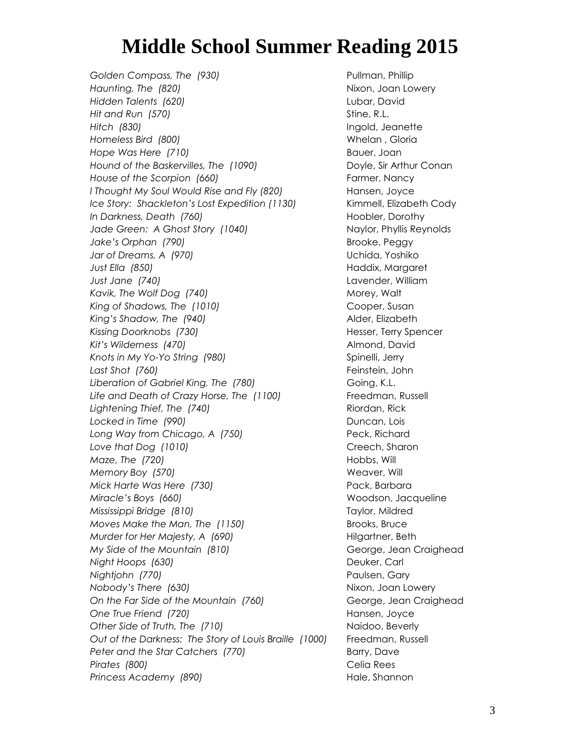Golden Compass, The (930) **Pullman**, Phillip *Haunting, The (820)* And *Haunting, The (820)* Nixon, Joan Lowery *Hidden Talents (620)* Lubar, David *Hit and Run (570)* Stine, R.L. *Hitch (830)* Ingold, Jeanette *Homeless Bird (800)* Whelan , Gloria *Hope Was Here (710)* Bauer, Joan *Hound of the Baskervilles, The (1090)* Doyle, Sir Arthur Conan *House of the Scorpion (660)* Farmer, Nancy *I* Thought My Soul Would Rise and Fly (820) Hansen, Joyce *Ice Story: Shackleton's Lost Expedition (1130)* Kimmell, Elizabeth Cody *In Darkness, Death (760)* **Hoobler, Dorothy** Jade Green: A Ghost Story (1040) **Naylor, Phyllis Reynolds** *Jake's Orphan* (790) **Brooke, Peggy** *Jar of Dreams, A (970)* Uchida, Yoshiko *Just Ella (850)* Haddix, Margaret *Just Jane (740)* Lavender, William Kavik, The Wolf Dog (740) Morey, Walt King of Shadows, The (1010) Cooper, Susan *King's Shadow, The (940)* Alder, Elizabeth Kissing Doorknobs (730) **Hesser, Terry Spencer** *Kit's Wilderness (470)* Almond, David Knots in My Yo-Yo String (980) Spinelli, Jerry *Last Shot (760)* Feinstein, John Liberation of Gabriel King, The (780) Coing, K.L. Life and Death of Crazy Horse, The (1100) Freedman, Russell *Lightening Thief, The (740)* Riordan, Rick Locked in Time (990) **Duncan**, Lois Long Way from Chicago, A (750) Peck, Richard Love that Dog (1010) Creech, Sharon *Maze, The (720)* **Hobbs, Will** *Memory Boy (570)* Weaver, Will *Mick Harte Was Here (730)* Pack, Barbara *Miracle's Boys (660)* Woodson, Jacqueline *Mississippi Bridge (810)* Taylor, Mildred *Moves Make the Man, The (1150)* Brooks, Bruce *Murder for Her Majesty, A (690)* Hilgartner, Beth *My Side of the Mountain (810)* Changes and George, Jean Craighead *Night Hoops (630)* Deuker, Carl *Nightjohn (770)* Paulsen, Gary *Nobody's There (630)* Nixon, Joan Lowery On the Far Side of the Mountain (760) **George**, Jean Craighead *One True Friend (720)* Hansen, Joyce *Other Side of Truth, The (710)* Naidoo, Beverly *Out of the Darkness: The Story of Louis Braille (1000)* Freedman, Russell Peter and the Star Catchers (770) Barry, Dave *Pirates (800)* Celia Rees **Princess Academy (890) Hale, Shannon**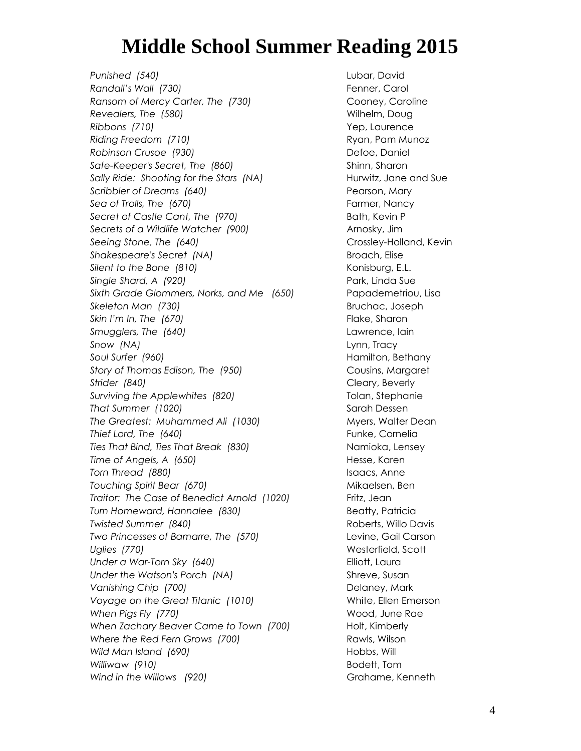*Punished (540)* Lubar, David *Randall's Wall (730)* Fenner, Carol *Ransom of Mercy Carter, The (730)* Cooney, Caroline **Revealers, The (580)** Milhelm, Doug *Ribbons (710)* Yep, Laurence **Riding Freedom (710)** Riding Freedom (710) *Robinson Crusoe (930)* Defoe, Daniel Safe-Keeper's Secret, The (860) Safe-Keeper's Secret, The (860) Sally Ride: Shooting for the Stars (NA) **Hurwitz**, Jane and Sue **Scribbler of Dreams (640)** Pearson, Mary Sea of Trolls, The (670) **Farmer**, Nancy **Farmer**, Nancy *Secret of Castle Cant, The (970)* Bath, Kevin P *Secrets of a Wildlife Watcher (900)* Arnosky, Jim **Seeing Stone, The (640)** Crossley-Holland, Kevin *Shakespeare's Secret (NA)* Broach, Elise *Silent to the Bone (810)* Konisburg, E.L. *Single Shard, A (920)* Park, Linda Sue *Sixth Grade Glommers, Norks, and Me (650)* Papademetriou, Lisa *Skeleton Man (730)* Bruchac, Joseph **Skin I'm In, The** (670) **Flake, Sharon** *Smugglers, The (640)* Lawrence, Iain *Snow (NA)* Lynn, Tracy *Soul Surfer (960)* Hamilton, Bethany *Story of Thomas Edison, The (950)* Cousins, Margaret **Strider (840)** Cleary, Beverly Surviving the Applewhites (820) Tolan, Stephanie **That Summer (1020)** Sarah Dessen The Greatest: Muhammed Ali (1030) Myers, Walter Dean **Thief Lord, The (640)** Thief Lord, The (640) *Ties That Bind, Ties That Break (830)* Namioka, Lensey **Time of Angels, A (650) Hesse, Karen Torn Thread (880)** Isaacs, Anne *Touching Spirit Bear (670)* Mikaelsen, Ben *Traitor: The Case of Benedict Arnold (1020)* Fritz, Jean **Turn Homeward, Hannalee (830)** Beatty, Patricia *Twisted Summer (840)* Roberts, Willo Davis *Two Princesses of Bamarre, The (570)* Levine, Gail Carson *Uglies (770)* Westerfield, Scott Under a War-Torn Sky (640) **Elliott**, Laura *Under the Watson's Porch (NA)* Shreve, Susan *Vanishing Chip (700)* Delaney, Mark *Voyage on the Great Titanic (1010)* White, Ellen Emerson *When Pigs Fly (770)* Wood, June Rae *When Zachary Beaver Came to Town (700)* Holt, Kimberly *Where the Red Fern Grows (700)* Rawls, Wilson Wild Man Island (690) Nobbs, Will Hobbs, Will Hobbs, Will Hobbs, Will Hobbs, Will Hobbs, Will Hobbs, Will Hobbs, Will Hobbs, Will Hobbs, Will Hobbs, Will Hobbs, Will Hobbs, Will Hobbs, Will Hobbs, Will Hobbs, Hobbs, Hobbs, *Williwaw (910)* Bodett, Tom *Wind* in the Willows (920) Compare and Grahame, Kenneth